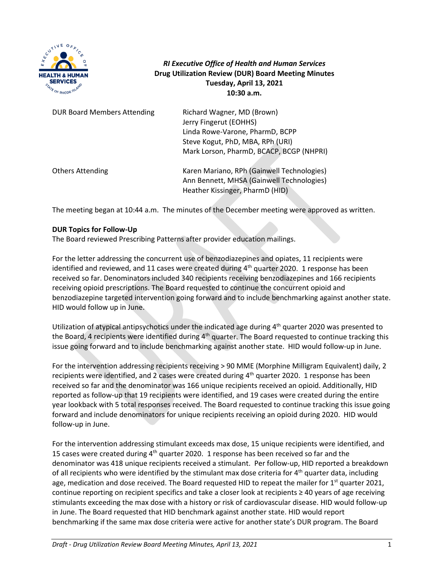

# *RI Executive Office of Health and Human Services* **Drug Utilization Review (DUR) Board Meeting Minutes Tuesday, April 13, 2021 10:30 a.m.**

| <b>DUR Board Members Attending</b> | Richard Wagner, MD (Brown)<br>Jerry Fingerut (EOHHS)<br>Linda Rowe-Varone, PharmD, BCPP<br>Steve Kogut, PhD, MBA, RPh (URI)<br>Mark Lorson, PharmD, BCACP, BCGP (NHPRI) |
|------------------------------------|-------------------------------------------------------------------------------------------------------------------------------------------------------------------------|
| <b>Others Attending</b>            | Karen Mariano, RPh (Gainwell Technologies)<br>Ann Bennett, MHSA (Gainwell Technologies)<br>Heather Kissinger, PharmD (HID)                                              |

The meeting began at 10:44 a.m. The minutes of the December meeting were approved as written.

## **DUR Topics for Follow-Up**

The Board reviewed Prescribing Patterns after provider education mailings.

For the letter addressing the concurrent use of benzodiazepines and opiates, 11 recipients were identified and reviewed, and 11 cases were created during 4<sup>th</sup> quarter 2020. 1 response has been received so far. Denominators included 340 recipients receiving benzodiazepines and 166 recipients receiving opioid prescriptions. The Board requested to continue the concurrent opioid and benzodiazepine targeted intervention going forward and to include benchmarking against another state. HID would follow up in June.

Utilization of atypical antipsychotics under the indicated age during 4<sup>th</sup> quarter 2020 was presented to the Board, 4 recipients were identified during  $4<sup>th</sup>$  quarter. The Board requested to continue tracking this issue going forward and to include benchmarking against another state. HID would follow-up in June.

For the intervention addressing recipients receiving > 90 MME (Morphine Milligram Equivalent) daily, 2 recipients were identified, and 2 cases were created during 4<sup>th</sup> quarter 2020. 1 response has been received so far and the denominator was 166 unique recipients received an opioid. Additionally, HID reported as follow-up that 19 recipients were identified, and 19 cases were created during the entire year lookback with 5 total responses received. The Board requested to continue tracking this issue going forward and include denominators for unique recipients receiving an opioid during 2020. HID would follow-up in June.

For the intervention addressing stimulant exceeds max dose, 15 unique recipients were identified, and 15 cases were created during  $4<sup>th</sup>$  quarter 2020. 1 response has been received so far and the denominator was 418 unique recipients received a stimulant. Per follow-up, HID reported a breakdown of all recipients who were identified by the stimulant max dose criteria for 4<sup>th</sup> quarter data, including age, medication and dose received. The Board requested HID to repeat the mailer for  $1<sup>st</sup>$  quarter 2021, continue reporting on recipient specifics and take a closer look at recipients ≥ 40 years of age receiving stimulants exceeding the max dose with a history or risk of cardiovascular disease. HID would follow-up in June. The Board requested that HID benchmark against another state. HID would report benchmarking if the same max dose criteria were active for another state's DUR program. The Board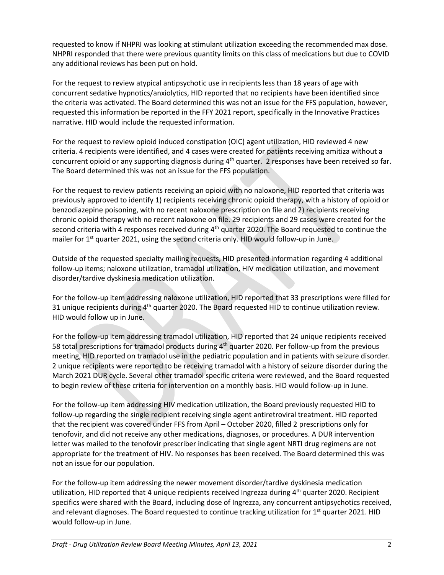requested to know if NHPRI was looking at stimulant utilization exceeding the recommended max dose. NHPRI responded that there were previous quantity limits on this class of medications but due to COVID any additional reviews has been put on hold.

For the request to review atypical antipsychotic use in recipients less than 18 years of age with concurrent sedative hypnotics/anxiolytics, HID reported that no recipients have been identified since the criteria was activated. The Board determined this was not an issue for the FFS population, however, requested this information be reported in the FFY 2021 report, specifically in the Innovative Practices narrative. HID would include the requested information.

For the request to review opioid induced constipation (OIC) agent utilization, HID reviewed 4 new criteria. 4 recipients were identified, and 4 cases were created for patients receiving amitiza without a concurrent opioid or any supporting diagnosis during  $4<sup>th</sup>$  quarter. 2 responses have been received so far. The Board determined this was not an issue for the FFS population.

For the request to review patients receiving an opioid with no naloxone, HID reported that criteria was previously approved to identify 1) recipients receiving chronic opioid therapy, with a history of opioid or benzodiazepine poisoning, with no recent naloxone prescription on file and 2) recipients receiving chronic opioid therapy with no recent naloxone on file. 29 recipients and 29 cases were created for the second criteria with 4 responses received during  $4<sup>th</sup>$  quarter 2020. The Board requested to continue the mailer for 1<sup>st</sup> quarter 2021, using the second criteria only. HID would follow-up in June.

Outside of the requested specialty mailing requests, HID presented information regarding 4 additional follow-up items; naloxone utilization, tramadol utilization, HIV medication utilization, and movement disorder/tardive dyskinesia medication utilization.

For the follow-up item addressing naloxone utilization, HID reported that 33 prescriptions were filled for 31 unique recipients during 4<sup>th</sup> quarter 2020. The Board requested HID to continue utilization review. HID would follow up in June.

For the follow-up item addressing tramadol utilization, HID reported that 24 unique recipients received 58 total prescriptions for tramadol products during 4<sup>th</sup> quarter 2020. Per follow-up from the previous meeting, HID reported on tramadol use in the pediatric population and in patients with seizure disorder. 2 unique recipients were reported to be receiving tramadol with a history of seizure disorder during the March 2021 DUR cycle. Several other tramadol specific criteria were reviewed, and the Board requested to begin review of these criteria for intervention on a monthly basis. HID would follow-up in June.

For the follow-up item addressing HIV medication utilization, the Board previously requested HID to follow-up regarding the single recipient receiving single agent antiretroviral treatment. HID reported that the recipient was covered under FFS from April – October 2020, filled 2 prescriptions only for tenofovir, and did not receive any other medications, diagnoses, or procedures. A DUR intervention letter was mailed to the tenofovir prescriber indicating that single agent NRTI drug regimens are not appropriate for the treatment of HIV. No responses has been received. The Board determined this was not an issue for our population.

For the follow-up item addressing the newer movement disorder/tardive dyskinesia medication utilization, HID reported that 4 unique recipients received Ingrezza during  $4<sup>th</sup>$  quarter 2020. Recipient specifics were shared with the Board, including dose of Ingrezza, any concurrent antipsychotics received, and relevant diagnoses. The Board requested to continue tracking utilization for  $1<sup>st</sup>$  quarter 2021. HID would follow-up in June.